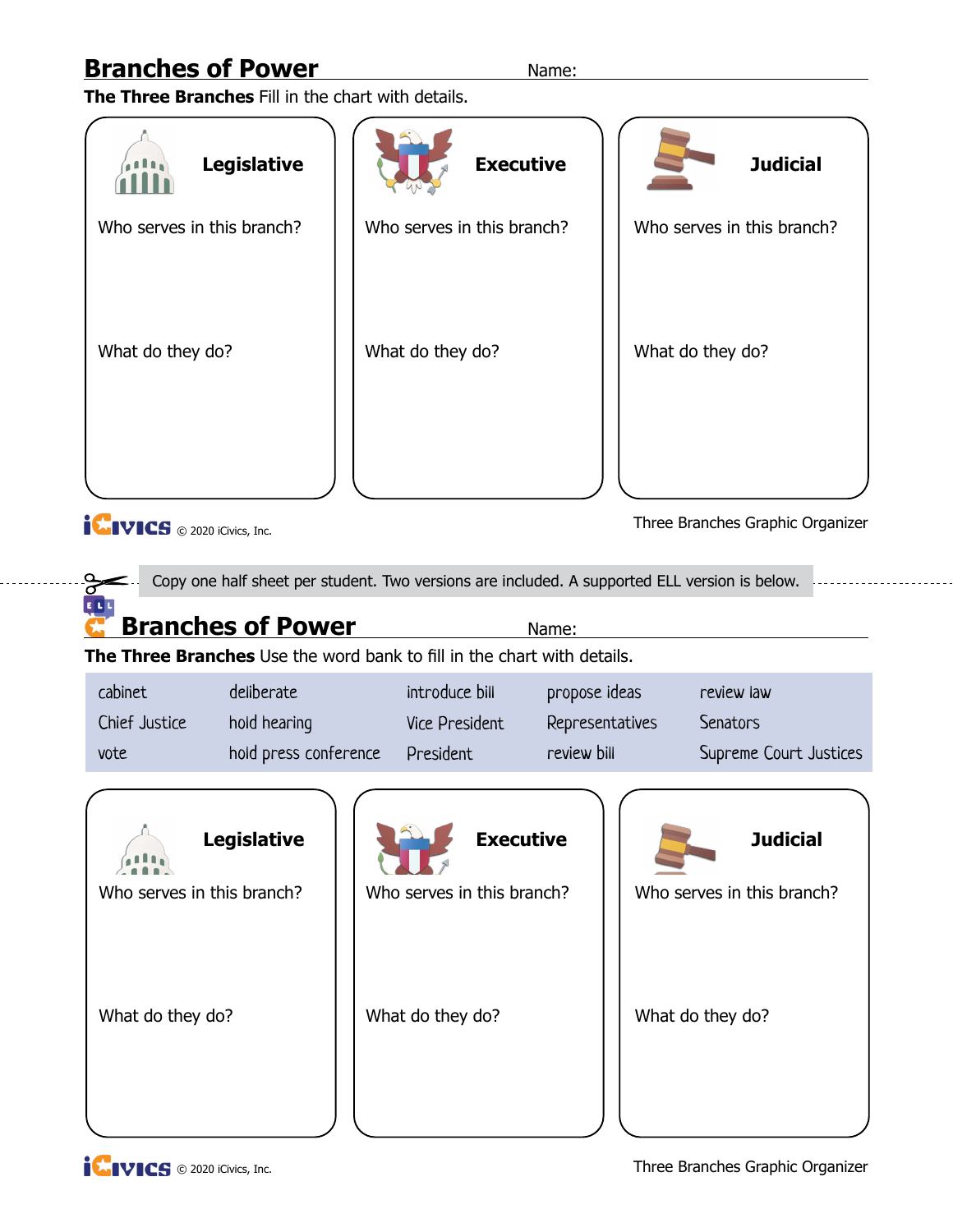**The Three Branches** Fill in the chart with details.

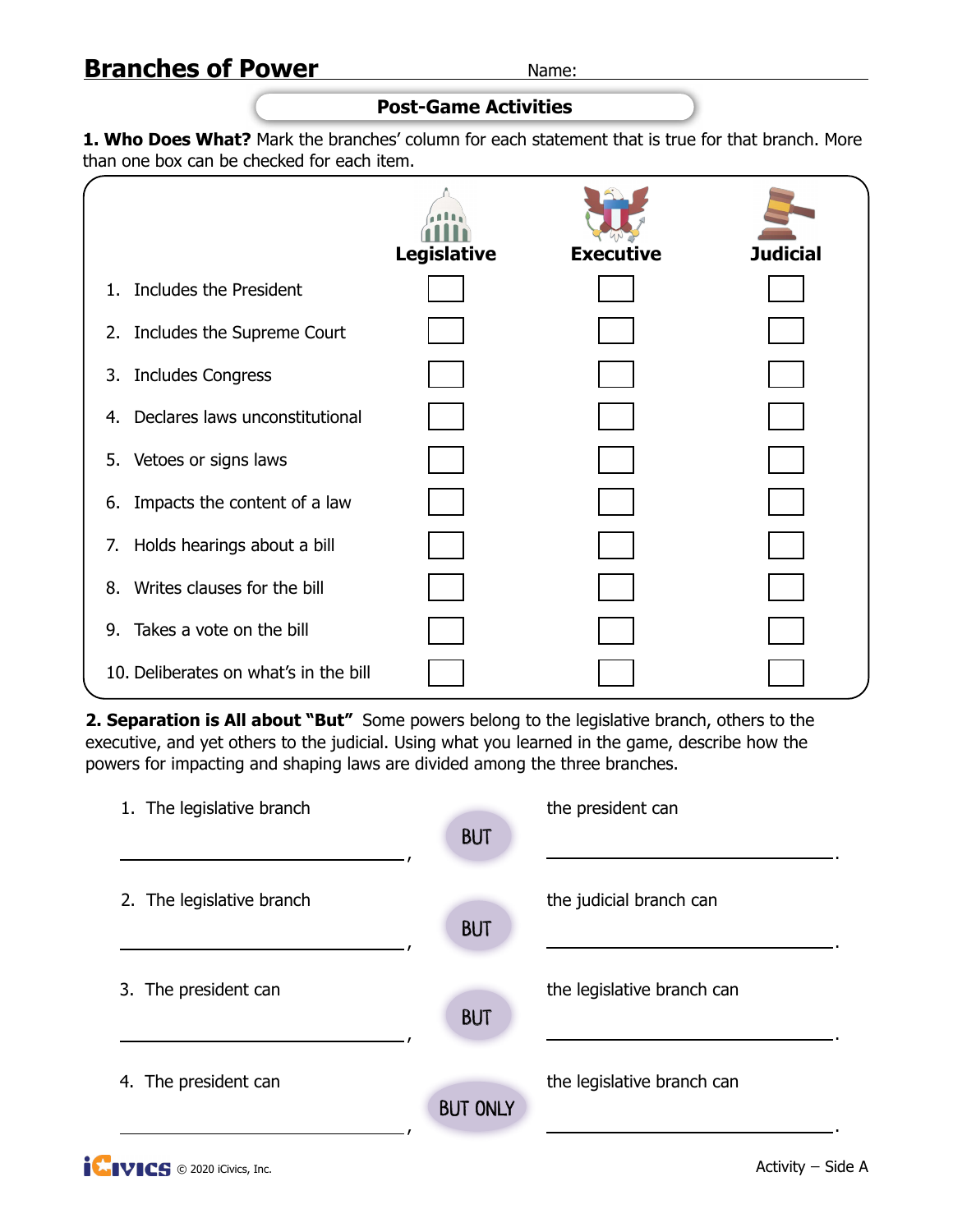#### **Post-Game Activities**

1. Who Does What? Mark the branches' column for each statement that is true for that branch. More than one box can be checked for each item.

|         |                                       | <b>Legislative</b> | <b>Executive</b> | <b>Judicial</b> |
|---------|---------------------------------------|--------------------|------------------|-----------------|
| $1_{-}$ | Includes the President                |                    |                  |                 |
|         | 2. Includes the Supreme Court         |                    |                  |                 |
|         | 3. Includes Congress                  |                    |                  |                 |
| 4.      | Declares laws unconstitutional        |                    |                  |                 |
|         | 5. Vetoes or signs laws               |                    |                  |                 |
| 6.      | Impacts the content of a law          |                    |                  |                 |
| 7.      | Holds hearings about a bill           |                    |                  |                 |
| 8.      | Writes clauses for the bill           |                    |                  |                 |
| 9.      | Takes a vote on the bill              |                    |                  |                 |
|         | 10. Deliberates on what's in the bill |                    |                  |                 |

**2. Separation is All about "But"** Some powers belong to the legislative branch, others to the executive, and yet others to the judicial. Using what you learned in the game, describe how the powers for impacting and shaping laws are divided among the three branches.

| 1. The legislative branch | <b>BUT</b>      | the president can          |
|---------------------------|-----------------|----------------------------|
| 2. The legislative branch | <b>BUT</b>      | the judicial branch can    |
| 3. The president can      | <b>BUT</b>      | the legislative branch can |
| 4. The president can      | <b>BUT ONLY</b> | the legislative branch can |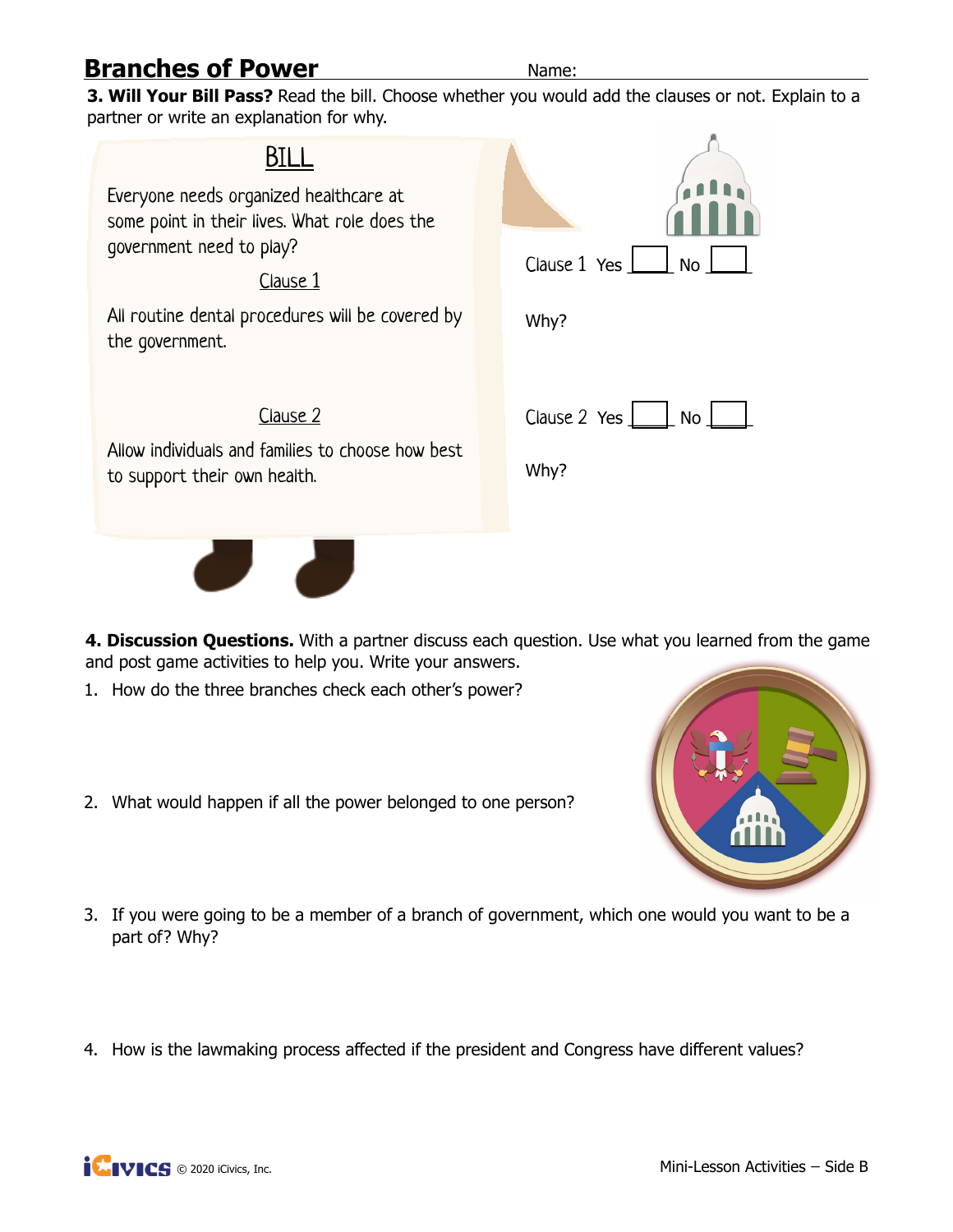**3. Will Your Bill Pass?** Read the bill. Choose whether you would add the clauses or not. Explain to a partner or write an explanation for why.



**4. Discussion Questions.** With a partner discuss each question. Use what you learned from the game and post game activities to help you. Write your answers.

- 1. How do the three branches check each other's power?
- 2. What would happen if all the power belonged to one person?



- 3. If you were going to be a member of a branch of government, which one would you want to be a part of? Why?
- 4. How is the lawmaking process affected if the president and Congress have different values?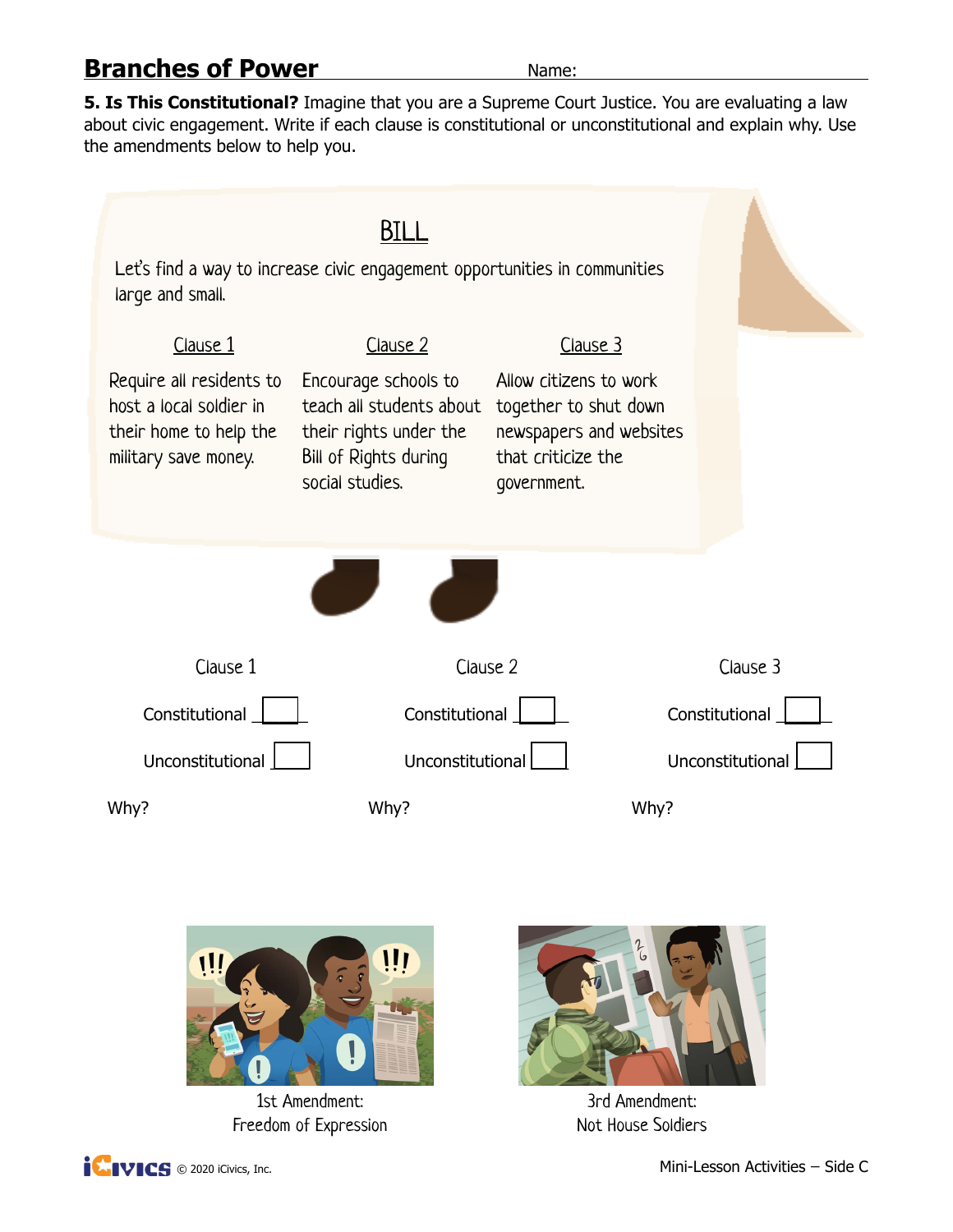**5. Is This Constitutional?** Imagine that you are a Supreme Court Justice. You are evaluating a law about civic engagement. Write if each clause is constitutional or unconstitutional and explain why. Use the amendments below to help you.

| Let's find a way to increase civic engagement opportunities in communities<br>large and small.        |                                                                                                                        |                                                                                                                 |                  |
|-------------------------------------------------------------------------------------------------------|------------------------------------------------------------------------------------------------------------------------|-----------------------------------------------------------------------------------------------------------------|------------------|
| Clause 1                                                                                              | Clause 2                                                                                                               | Clause 3                                                                                                        |                  |
| Require all residents to<br>host a local soldier in<br>their home to help the<br>military save money. | Encourage schools to<br>teach all students about<br>their rights under the<br>Bill of Rights during<br>social studies. | Allow citizens to work<br>together to shut down<br>newspapers and websites<br>that criticize the<br>government. |                  |
| Clause 1                                                                                              | Clause 2                                                                                                               |                                                                                                                 | Clause 3         |
|                                                                                                       |                                                                                                                        |                                                                                                                 |                  |
| Constitutional                                                                                        | Constitutional                                                                                                         |                                                                                                                 | Constitutional   |
| Unconstitutional                                                                                      | Unconstitutional                                                                                                       |                                                                                                                 | Unconstitutional |
| Why?                                                                                                  | Why?                                                                                                                   | Why?                                                                                                            |                  |



1st Amendment: Freedom of Expression



3rd Amendment: Not House Soldiers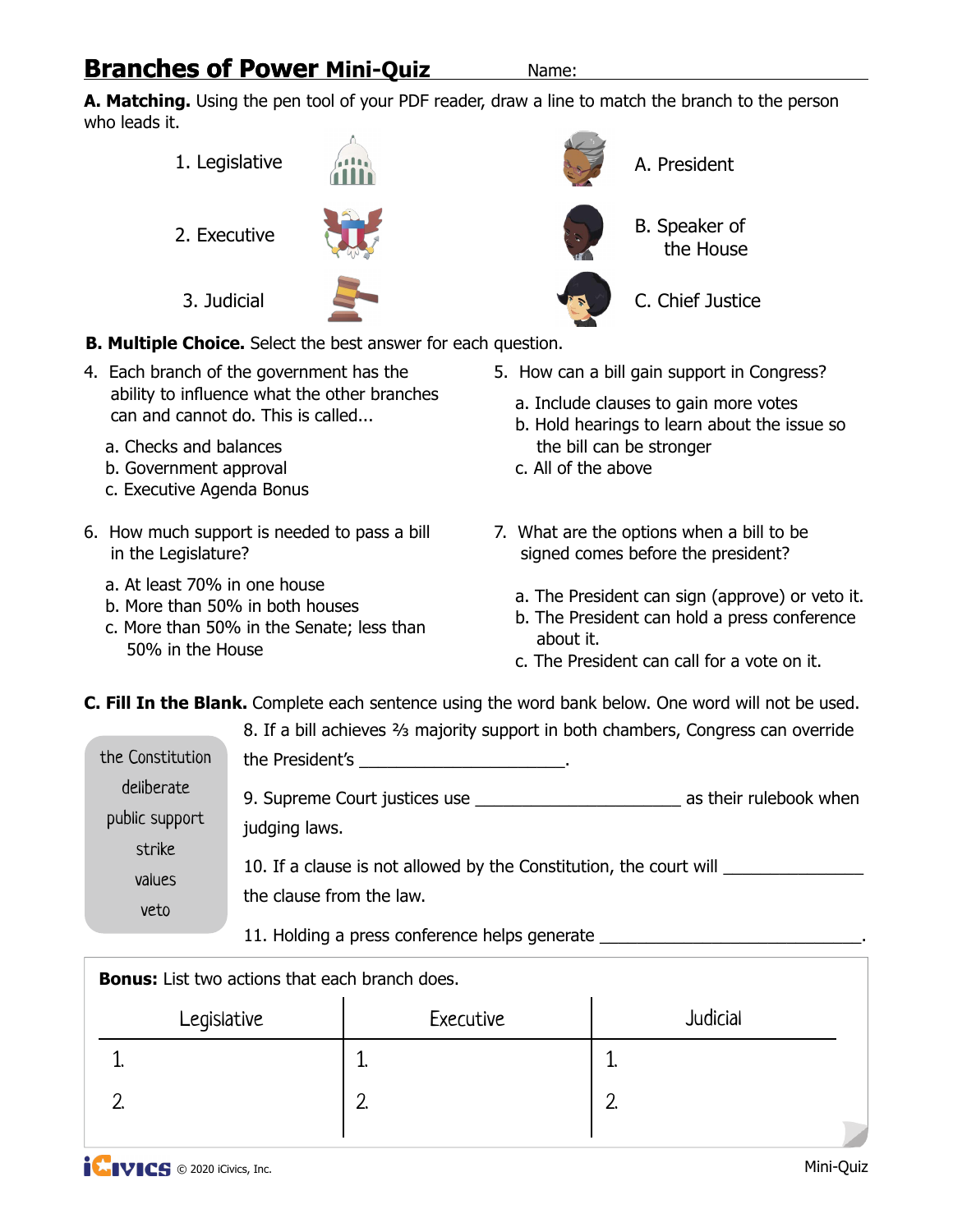# **Branches of Power Mini-Quiz** Mame:

**A. Matching.** Using the pen tool of your PDF reader, draw a line to match the branch to the person who leads it.

- 1. Legislative
- 2. Executive

3. Judicial



A. President B. Speaker of the House C. Chief Justice

**B. Multiple Choice.** Select the best answer for each question.

- 4. Each branch of the government has the ability to influence what the other branches can and cannot do. This is called...
	- a. Checks and balances
	- b. Government approval
	- c. Executive Agenda Bonus
- 6. How much support is needed to pass a bill in the Legislature?
	- a. At least 70% in one house
	- b. More than 50% in both houses
	- c. More than 50% in the Senate; less than 50% in the House
- 5. How can a bill gain support in Congress?
	- a. Include clauses to gain more votes
	- b. Hold hearings to learn about the issue so the bill can be stronger
	- c. All of the above
- 7. What are the options when a bill to be signed comes before the president?
	- a. The President can sign (approve) or veto it.
	- b. The President can hold a press conference about it.
	- c. The President can call for a vote on it.

**C. Fill In the Blank.** Complete each sentence using the word bank below. One word will not be used.

|                              | 8. If a bill achieves 3/3 majority support in both chambers, Congress can override             |
|------------------------------|------------------------------------------------------------------------------------------------|
| the Constitution             | the President's ___________________________.                                                   |
| deliberate<br>public support | as their rulebook when<br>9. Supreme Court justices use<br>judging laws.                       |
| strike<br>values<br>veto     | 10. If a clause is not allowed by the Constitution, the court will<br>the clause from the law. |

11. Holding a press conference helps generate

| <b>Bonus:</b> List two actions that each branch does. |           |          |  |  |
|-------------------------------------------------------|-----------|----------|--|--|
| Legislative                                           | Executive | Judicial |  |  |
|                                                       |           |          |  |  |
|                                                       | ⌒         | $\Omega$ |  |  |
|                                                       |           |          |  |  |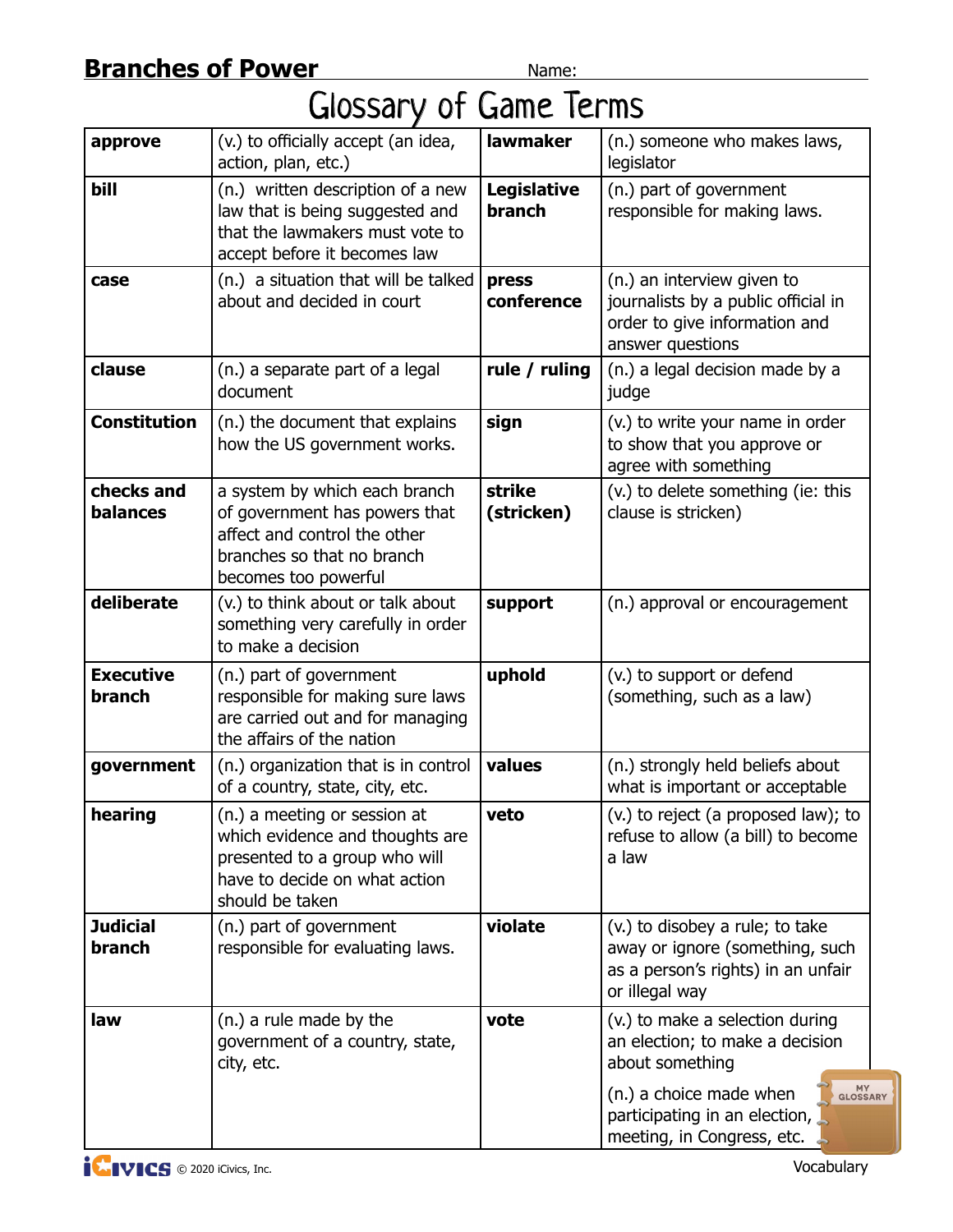# Glossary of Game Terms

| approve                       | (v.) to officially accept (an idea,<br>action, plan, etc.)                                                                                           | <b>lawmaker</b>                     | (n.) someone who makes laws,<br>legislator                                                                                                                                                      |
|-------------------------------|------------------------------------------------------------------------------------------------------------------------------------------------------|-------------------------------------|-------------------------------------------------------------------------------------------------------------------------------------------------------------------------------------------------|
| bill                          | (n.) written description of a new<br>law that is being suggested and<br>that the lawmakers must vote to<br>accept before it becomes law              | <b>Legislative</b><br><b>branch</b> | (n.) part of government<br>responsible for making laws.                                                                                                                                         |
| case                          | (n.) a situation that will be talked<br>about and decided in court                                                                                   | press<br>conference                 | (n.) an interview given to<br>journalists by a public official in<br>order to give information and<br>answer questions                                                                          |
| clause                        | (n.) a separate part of a legal<br>document                                                                                                          | rule / ruling                       | (n.) a legal decision made by a<br>judge                                                                                                                                                        |
| <b>Constitution</b>           | (n.) the document that explains<br>how the US government works.                                                                                      | sign                                | (v.) to write your name in order<br>to show that you approve or<br>agree with something                                                                                                         |
| checks and<br><b>balances</b> | a system by which each branch<br>of government has powers that<br>affect and control the other<br>branches so that no branch<br>becomes too powerful | strike<br>(stricken)                | (v.) to delete something (ie: this<br>clause is stricken)                                                                                                                                       |
| deliberate                    | (v.) to think about or talk about<br>something very carefully in order<br>to make a decision                                                         | support                             | (n.) approval or encouragement                                                                                                                                                                  |
| <b>Executive</b><br>branch    | (n.) part of government<br>responsible for making sure laws<br>are carried out and for managing<br>the affairs of the nation                         | uphold                              | (v.) to support or defend<br>(something, such as a law)                                                                                                                                         |
| government                    | (n.) organization that is in control<br>of a country, state, city, etc.                                                                              | values                              | (n.) strongly held beliefs about<br>what is important or acceptable                                                                                                                             |
| hearing                       | (n.) a meeting or session at<br>which evidence and thoughts are<br>presented to a group who will<br>have to decide on what action<br>should be taken | veto                                | (v.) to reject (a proposed law); to<br>refuse to allow (a bill) to become<br>a law                                                                                                              |
| <b>Judicial</b><br>branch     | (n.) part of government<br>responsible for evaluating laws.                                                                                          | violate                             | (v.) to disobey a rule; to take<br>away or ignore (something, such<br>as a person's rights) in an unfair<br>or illegal way                                                                      |
| law                           | (n.) a rule made by the<br>government of a country, state,<br>city, etc.                                                                             | vote                                | (v.) to make a selection during<br>an election; to make a decision<br>about something<br>MY<br>GLOSSA<br>(n.) a choice made when<br>participating in an election,<br>meeting, in Congress, etc. |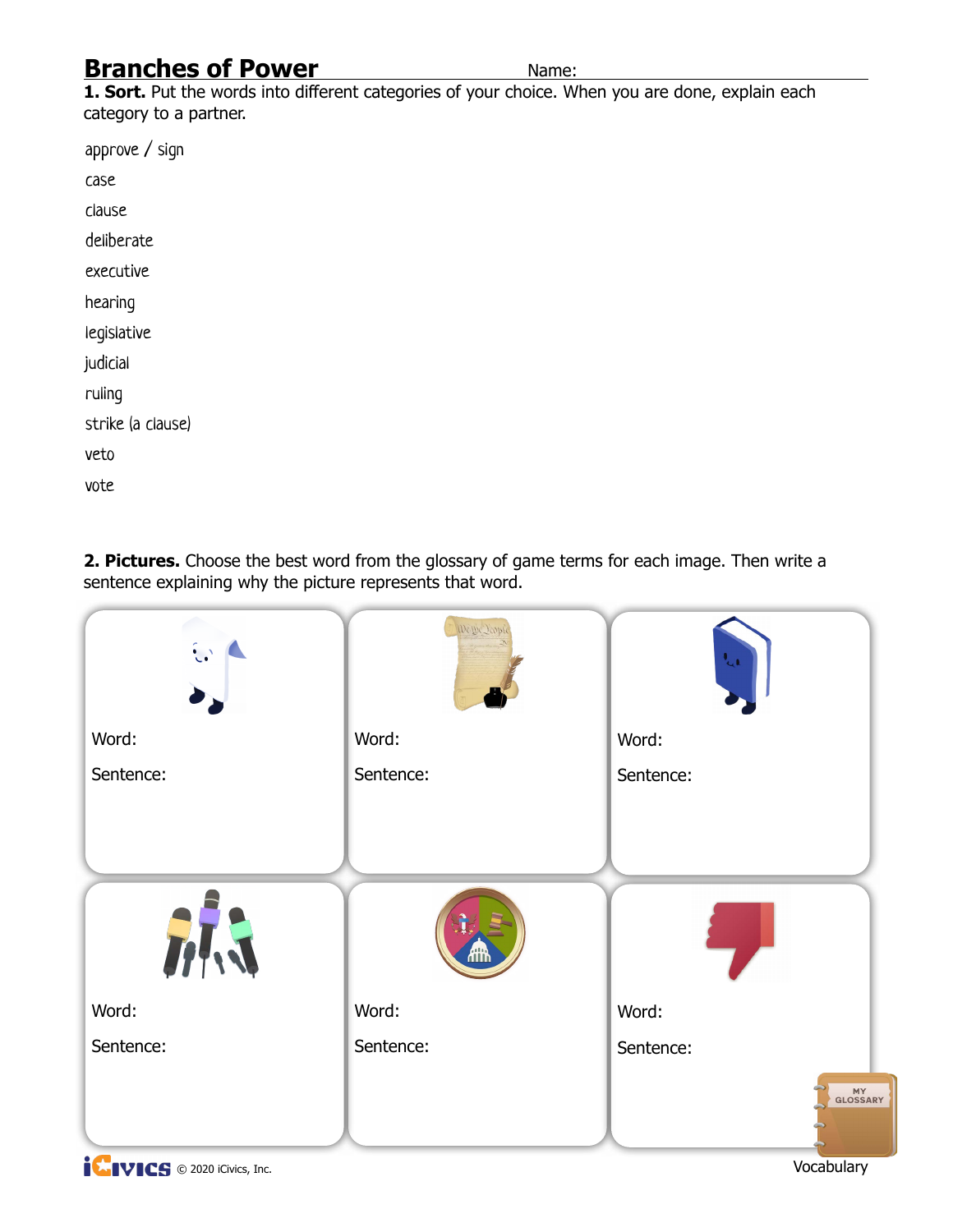1. Sort. Put the words into different categories of your choice. When you are done, explain each category to a partner.

approve / sign case clause deliberate executive hearing legislative judicial ruling strike (a clause) veto vote

**2. Pictures.** Choose the best word from the glossary of game terms for each image. Then write a sentence explaining why the picture represents that word.

| $\mathbf{C}$ | We the Deople | $\mathbf{t}_{\mathrm{cl}}$ |
|--------------|---------------|----------------------------|
| Word:        | Word:         | Word:                      |
| Sentence:    | Sentence:     | Sentence:                  |
| 冰            | ሐዡ            |                            |
| Word:        | Word:         | Word:                      |
| Sentence:    | Sentence:     | Sentence:                  |
| $\bullet$    |               | MY<br>GLOSSARY             |